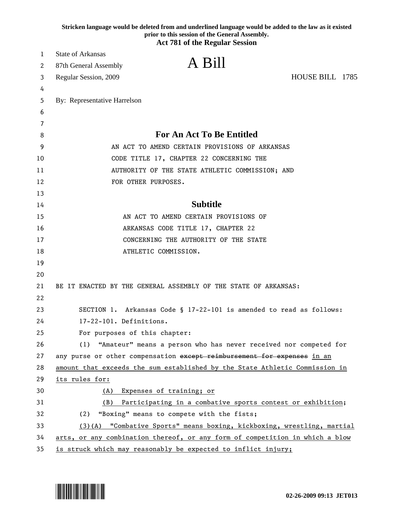|    | Stricken language would be deleted from and underlined language would be added to the law as it existed<br>prior to this session of the General Assembly. |
|----|-----------------------------------------------------------------------------------------------------------------------------------------------------------|
|    | <b>Act 781 of the Regular Session</b>                                                                                                                     |
| 1  | <b>State of Arkansas</b>                                                                                                                                  |
| 2  | A Bill<br>87th General Assembly                                                                                                                           |
| 3  | HOUSE BILL 1785<br>Regular Session, 2009                                                                                                                  |
| 4  |                                                                                                                                                           |
| 5  | By: Representative Harrelson                                                                                                                              |
| 6  |                                                                                                                                                           |
| 7  |                                                                                                                                                           |
| 8  | <b>For An Act To Be Entitled</b>                                                                                                                          |
| 9  | AN ACT TO AMEND CERTAIN PROVISIONS OF ARKANSAS                                                                                                            |
| 10 | CODE TITLE 17, CHAPTER 22 CONCERNING THE                                                                                                                  |
| 11 | AUTHORITY OF THE STATE ATHLETIC COMMISSION; AND                                                                                                           |
| 12 | FOR OTHER PURPOSES.                                                                                                                                       |
| 13 |                                                                                                                                                           |
| 14 | <b>Subtitle</b>                                                                                                                                           |
| 15 | AN ACT TO AMEND CERTAIN PROVISIONS OF                                                                                                                     |
| 16 | ARKANSAS CODE TITLE 17, CHAPTER 22                                                                                                                        |
| 17 | CONCERNING THE AUTHORITY OF THE STATE                                                                                                                     |
| 18 | ATHLETIC COMMISSION.                                                                                                                                      |
| 19 |                                                                                                                                                           |
| 20 |                                                                                                                                                           |
| 21 | BE IT ENACTED BY THE GENERAL ASSEMBLY OF THE STATE OF ARKANSAS:                                                                                           |
| 22 |                                                                                                                                                           |
| 23 | SECTION 1. Arkansas Code § 17-22-101 is amended to read as follows:                                                                                       |
| 24 | 17-22-101. Definitions.                                                                                                                                   |
| 25 | For purposes of this chapter:                                                                                                                             |
| 26 | "Amateur" means a person who has never received nor competed for<br>(1)                                                                                   |
| 27 | any purse or other compensation except reimbursement for expenses in an                                                                                   |
| 28 | amount that exceeds the sum established by the State Athletic Commission in                                                                               |
| 29 | its rules for:                                                                                                                                            |
| 30 | Expenses of training; or<br>(A)                                                                                                                           |
| 31 | Participating in a combative sports contest or exhibition;<br>(B)                                                                                         |
| 32 | "Boxing" means to compete with the fists;<br>(2)                                                                                                          |
| 33 | (3)(A) "Combative Sports" means boxing, kickboxing, wrestling, martial                                                                                    |
| 34 | arts, or any combination thereof, or any form of competition in which a blow                                                                              |
| 35 | is struck which may reasonably be expected to inflict injury;                                                                                             |

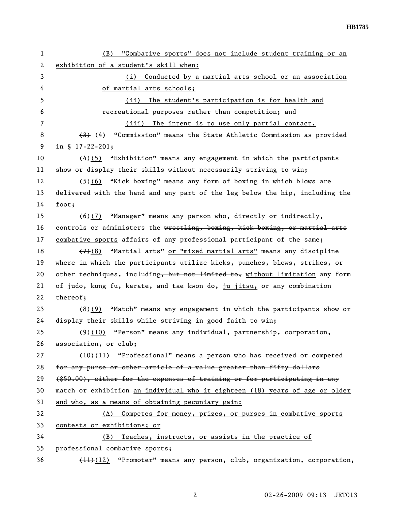1 (B) "Combative sports" does not include student training or an 2 exhibition of a student's skill when: 3 (i) Conducted by a martial arts school or an association 4 of martial arts schools; 5 (ii) The student's participation is for health and 6 recreational purposes rather than competition; and 7 (iii) The intent is to use only partial contact. 8 (3) (4) "Commission" means the State Athletic Commission as provided 9 in § 17-22-201; 10  $(4)(5)$  "Exhibition" means any engagement in which the participants 11 show or display their skills without necessarily striving to win; 12  $(5)(6)$  "Kick boxing" means any form of boxing in which blows are 13 delivered with the hand and any part of the leg below the hip, including the 14 foot; 15 (6)(7) "Manager" means any person who, directly or indirectly, 16 controls or administers the wrestling, boxing, kick boxing, or martial arts 17 combative sports affairs of any professional participant of the same; 18 (7)(8) "Martial arts" or "mixed martial arts" means any discipline 19 where in which the participants utilize kicks, punches, blows, strikes, or 20 other techniques, including, but not limited to, without limitation any form 21 of judo, kung fu, karate, and tae kwon do, ju jitsu, or any combination 22 thereof; 23 (8)(9) "Match" means any engagement in which the participants show or 24 display their skills while striving in good faith to win; 25 (9)(10) "Person" means any individual, partnership, corporation, 26 association, or club; 27 (10)(11) "Professional" means a person who has received or competed 28 for any purse or other article of a value greater than fifty dollars  $29$  (\$50.00), either for the expenses of training or for participating in any 30 match or exhibition an individual who it eighteen (18) years of age or older 31 and who, as a means of obtaining pecuniary gain: 32 (A) Competes for money, prizes, or purses in combative sports 33 contests or exhibitions; or 34 (B) Teaches, instructs, or assists in the practice of 35 professional combative sports; 36 (11)(12) "Promoter" means any person, club, organization, corporation,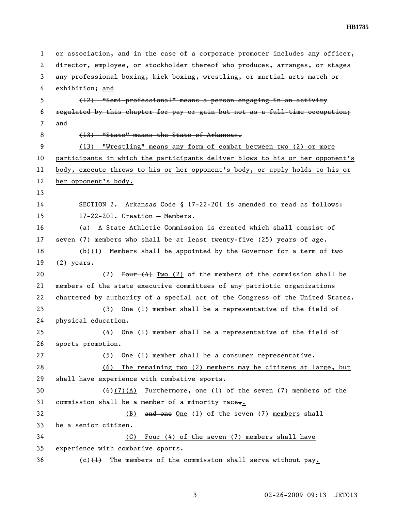1 or association, and in the case of a corporate promoter includes any officer, 2 director, employee, or stockholder thereof who produces, arranges, or stages 3 any professional boxing, kick boxing, wrestling, or martial arts match or 4 exhibition; and 5 (12) "Semi-professional" means a person engaging in an activity 6 regulated by this chapter for pay or gain but not as a full-time occupation; 7 and 8 (13) "State" means the State of Arkansas. 9 (13) "Wrestling" means any form of combat between two (2) or more 10 participants in which the participants deliver blows to his or her opponent's 11 body, execute throws to his or her opponent's body, or apply holds to his or 12 her opponent's body. 13 14 SECTION 2. Arkansas Code § 17-22-201 is amended to read as follows: 15 17-22-201. Creation — Members. 16 (a) A State Athletic Commission is created which shall consist of 17 seven (7) members who shall be at least twenty-five (25) years of age. 18 (b)(1) Members shall be appointed by the Governor for a term of two 19 (2) years. 20 (2) Four (4) Two (2) of the members of the commission shall be 21 members of the state executive committees of any patriotic organizations 22 chartered by authority of a special act of the Congress of the United States. 23 (3) One (1) member shall be a representative of the field of 24 physical education. 25 (4) One (1) member shall be a representative of the field of 26 sports promotion. 27 (5) One (1) member shall be a consumer representative. 28 (6) The remaining two (2) members may be citizens at large, but 29 shall have experience with combative sports. 30  $\left(\frac{6}{7}\right)$  (A) Furthermore, one (1) of the seven (7) members of the 31 commission shall be a member of a minority race. 32 (B) and one One (1) of the seven (7) members shall 33 be a senior citizen. 34 (C) Four (4) of the seven (7) members shall have 35 experience with combative sports.  $36$  (c) $\{\frac{1}{2}\}$  The members of the commission shall serve without pay.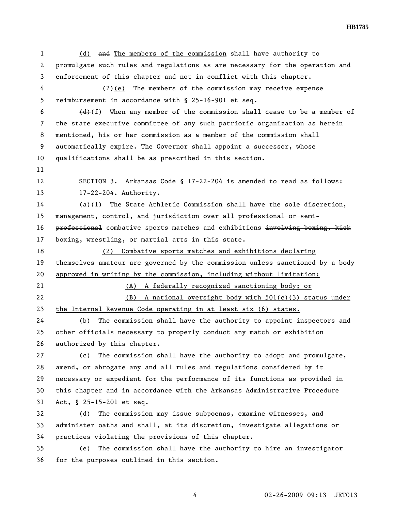1 (d) and The members of the commission shall have authority to 2 promulgate such rules and regulations as are necessary for the operation and 3 enforcement of this chapter and not in conflict with this chapter. 4  $(2)(e)$  The members of the commission may receive expense 5 reimbursement in accordance with § 25-16-901 et seq. 6  $\left(\frac{d}{d}\right)(f)$  When any member of the commission shall cease to be a member of 7 the state executive committee of any such patriotic organization as herein 8 mentioned, his or her commission as a member of the commission shall 9 automatically expire. The Governor shall appoint a successor, whose 10 qualifications shall be as prescribed in this section. 11 12 SECTION 3. Arkansas Code § 17-22-204 is amended to read as follows: 13 17-22-204. Authority. 14 (a)(1) The State Athletic Commission shall have the sole discretion, 15 management, control, and jurisdiction over all professional or semi-16 professional combative sports matches and exhibitions involving boxing, kick 17 boxing, wrestling, or martial arts in this state. 18 (2) Combative sports matches and exhibitions declaring 19 themselves amateur are governed by the commission unless sanctioned by a body 20 approved in writing by the commission, including without limitation: 21 (A) A federally recognized sanctioning body; or 22 (B) A national oversight body with 501(c)(3) status under 23 the Internal Revenue Code operating in at least six (6) states. 24 (b) The commission shall have the authority to appoint inspectors and 25 other officials necessary to properly conduct any match or exhibition 26 authorized by this chapter. 27 (c) The commission shall have the authority to adopt and promulgate, 28 amend, or abrogate any and all rules and regulations considered by it 29 necessary or expedient for the performance of its functions as provided in 30 this chapter and in accordance with the Arkansas Administrative Procedure 31 Act, § 25-15-201 et seq. 32 (d) The commission may issue subpoenas, examine witnesses, and

33 administer oaths and shall, at its discretion, investigate allegations or 34 practices violating the provisions of this chapter.

35 (e) The commission shall have the authority to hire an investigator 36 for the purposes outlined in this section.

**HB1785**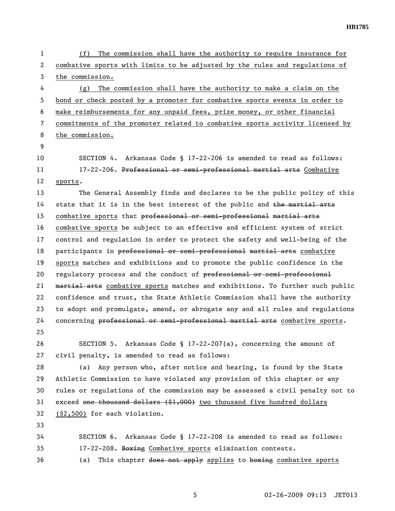1 (f) The commission shall have the authority to require insurance for 2 combative sports with limits to be adjusted by the rules and regulations of 3 the commission. 4 (g) The commission shall have the authority to make a claim on the 5 bond or check posted by a promoter for combative sports events in order to 6 make reimbursements for any unpaid fees, prize money, or other financial 7 commitments of the promoter related to combative sports activity licensed by 8 the commission. 9 10 SECTION 4. Arkansas Code § 17-22-206 is amended to read as follows: 11 17-22-206. Professional or semi-professional martial arts Combative 12 sports. 13 The General Assembly finds and declares to be the public policy of this 14 state that it is in the best interest of the public and  $t$  he martial arts 15 combative sports that professional or semi-professional martial arts 16 combative sports be subject to an effective and efficient system of strict 17 control and regulation in order to protect the safety and well-being of the 18 participants in professional or semi-professional martial arts combative 19 sports matches and exhibitions and to promote the public confidence in the 20 regulatory process and the conduct of professional or semi-professional 21 martial arts combative sports matches and exhibitions. To further such public 22 confidence and trust, the State Athletic Commission shall have the authority 23 to adopt and promulgate, amend, or abrogate any and all rules and regulations 24 concerning professional or semi-professional martial arts combative sports. 25 26 SECTION 5. Arkansas Code § 17-22-207(a), concerning the amount of 27 civil penalty, is amended to read as follows: 28 (a) Any person who, after notice and hearing, is found by the State 29 Athletic Commission to have violated any provision of this chapter or any 30 rules or regulations of the commission may be assessed a civil penalty not to 31 exceed one thousand dollars (\$1,000) two thousand five hundred dollars 32 (\$2,500) for each violation. 33 34 SECTION 6. Arkansas Code § 17-22-208 is amended to read as follows: 35 17-22-208. Boxing Combative sports elimination contests. 36 (a) This chapter does not apply applies to boxing combative sports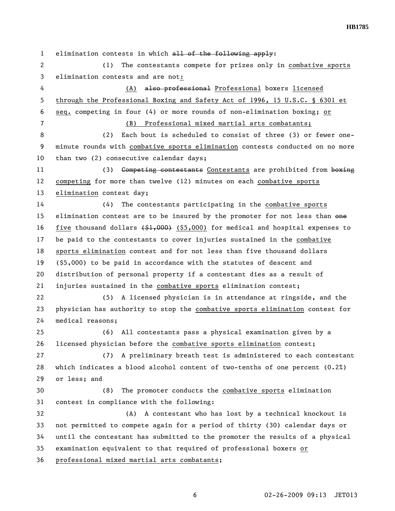1 elimination contests in which all of the following apply:

2 (1) The contestants compete for prizes only in combative sports 3 elimination contests and are not:

4 (A) also professional Professional boxers licensed 5 through the Professional Boxing and Safety Act of 1996, 15 U.S.C. § 6301 et 6 seq. competing in four (4) or more rounds of non-elimination boxing; or

7 (B) Professional mixed martial arts combatants;

8 (2) Each bout is scheduled to consist of three (3) or fewer one-9 minute rounds with combative sports elimination contests conducted on no more 10 than two (2) consecutive calendar days;

11 (3) Competing contestants Contestants are prohibited from boxing 12 competing for more than twelve (12) minutes on each combative sports 13 elimination contest day;

14 (4) The contestants participating in the combative sports 15 elimination contest are to be insured by the promoter for not less than one 16 five thousand dollars (\$1,000) (\$5,000) for medical and hospital expenses to 17 be paid to the contestants to cover injuries sustained in the combative 18 sports elimination contest and for not less than five thousand dollars 19 (\$5,000) to be paid in accordance with the statutes of descent and 20 distribution of personal property if a contestant dies as a result of 21 injuries sustained in the combative sports elimination contest;

22 (5) A licensed physician is in attendance at ringside, and the 23 physician has authority to stop the combative sports elimination contest for 24 medical reasons;

25 (6) All contestants pass a physical examination given by a 26 licensed physician before the combative sports elimination contest;

27 (7) A preliminary breath test is administered to each contestant 28 which indicates a blood alcohol content of two-tenths of one percent (0.2%) 29 or less; and

30 (8) The promoter conducts the combative sports elimination 31 contest in compliance with the following:

32 (A) A contestant who has lost by a technical knockout is 33 not permitted to compete again for a period of thirty (30) calendar days or 34 until the contestant has submitted to the promoter the results of a physical 35 examination equivalent to that required of professional boxers or

36 professional mixed martial arts combatants;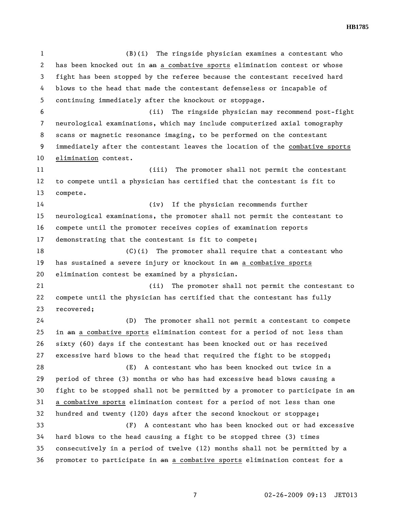1 (B)(i) The ringside physician examines a contestant who 2 has been knocked out in an a combative sports elimination contest or whose 3 fight has been stopped by the referee because the contestant received hard 4 blows to the head that made the contestant defenseless or incapable of 5 continuing immediately after the knockout or stoppage. 6 (ii) The ringside physician may recommend post-fight 7 neurological examinations, which may include computerized axial tomography 8 scans or magnetic resonance imaging, to be performed on the contestant 9 immediately after the contestant leaves the location of the combative sports 10 elimination contest. 11 (iii) The promoter shall not permit the contestant 12 to compete until a physician has certified that the contestant is fit to 13 compete. 14 (iv) If the physician recommends further 15 neurological examinations, the promoter shall not permit the contestant to 16 compete until the promoter receives copies of examination reports 17 demonstrating that the contestant is fit to compete; 18 (C)(i) The promoter shall require that a contestant who 19 has sustained a severe injury or knockout in an a combative sports 20 elimination contest be examined by a physician. 21 (ii) The promoter shall not permit the contestant to 22 compete until the physician has certified that the contestant has fully 23 recovered; 24 (D) The promoter shall not permit a contestant to compete 25 in an a combative sports elimination contest for a period of not less than 26 sixty (60) days if the contestant has been knocked out or has received 27 excessive hard blows to the head that required the fight to be stopped; 28 (E) A contestant who has been knocked out twice in a 29 period of three (3) months or who has had excessive head blows causing a 30 fight to be stopped shall not be permitted by a promoter to participate in an 31 a combative sports elimination contest for a period of not less than one 32 hundred and twenty (120) days after the second knockout or stoppage; 33 (F) A contestant who has been knocked out or had excessive 34 hard blows to the head causing a fight to be stopped three (3) times 35 consecutively in a period of twelve (12) months shall not be permitted by a

**HB1785** 

36 promoter to participate in an a combative sports elimination contest for a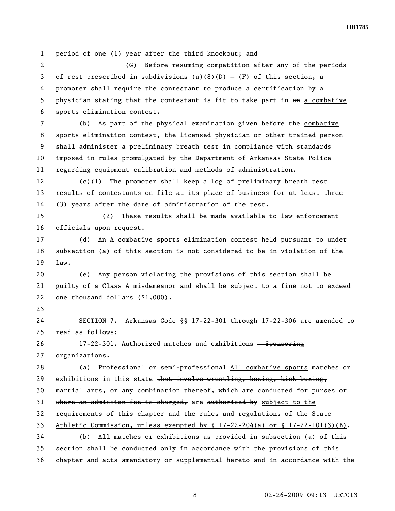1 period of one (1) year after the third knockout; and 2 (G) Before resuming competition after any of the periods 3 of rest prescribed in subdivisions (a)(8)(D) - (F) of this section, a 4 promoter shall require the contestant to produce a certification by a 5 physician stating that the contestant is fit to take part in an a combative 6 sports elimination contest. 7 (b) As part of the physical examination given before the combative 8 sports elimination contest, the licensed physician or other trained person 9 shall administer a preliminary breath test in compliance with standards 10 imposed in rules promulgated by the Department of Arkansas State Police 11 regarding equipment calibration and methods of administration. 12 (c)(1) The promoter shall keep a log of preliminary breath test 13 results of contestants on file at its place of business for at least three 14 (3) years after the date of administration of the test. 15 (2) These results shall be made available to law enforcement 16 officials upon request. 17 (d) An A combative sports elimination contest held pursuant to under 18 subsection (a) of this section is not considered to be in violation of the 19 law. 20 (e) Any person violating the provisions of this section shall be 21 guilty of a Class A misdemeanor and shall be subject to a fine not to exceed 22 one thousand dollars (\$1,000). 23 24 SECTION 7. Arkansas Code §§ 17-22-301 through 17-22-306 are amended to 25 read as follows: 26 17-22-301. Authorized matches and exhibitions - Sponsoring 27 organizations. 28 (a) Professional or semi-professional All combative sports matches or 29 exhibitions in this state that involve wrestling, boxing, kick boxing, 30 martial arts, or any combination thereof, which are conducted for purses or 31 where an admission fee is charged, are authorized by subject to the 32 requirements of this chapter and the rules and regulations of the State 33 Athletic Commission, unless exempted by § 17-22-204(a) or § 17-22-101(3)(B). 34 (b) All matches or exhibitions as provided in subsection (a) of this 35 section shall be conducted only in accordance with the provisions of this 36 chapter and acts amendatory or supplemental hereto and in accordance with the

8 02-26-2009 09:13 JET013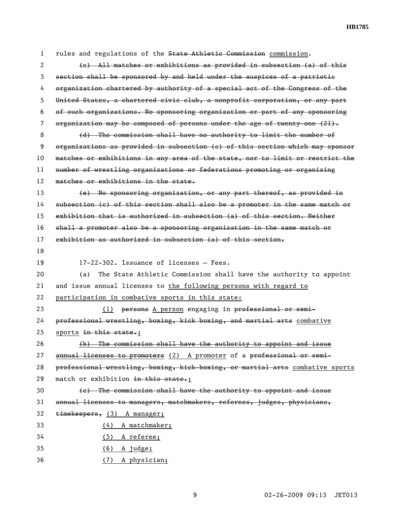1 rules and regulations of the State Athletic Commission commission. 2 (c) All matches or exhibitions as provided in subsection (a) of this 3 section shall be sponsored by and held under the auspices of a patriotic 4 organization chartered by authority of a special act of the Congress of the 5 United States, a chartered civic club, a nonprofit corporation, or any part 6 of such organizations. No sponsoring organization or part of any sponsoring 7 organization may be composed of persons under the age of twenty-one  $(21)$ . 8 (d) The commission shall have no authority to limit the number of 9 organizations as provided in subsection (c) of this section which may sponsor 10 matches or exhibitions in any area of the state, nor to limit or restrict the 11 number of wrestling organizations or federations promoting or organizing 12 matches or exhibitions in the state. 13 (e) No sponsoring organization, or any part thereof, as provided in 14 subsection (c) of this section shall also be a promoter in the same match or 15 exhibition that is authorized in subsection (a) of this section. Neither 16 shall a promoter also be a sponsoring organization in the same match or 17 exhibition as authorized in subsection (a) of this section. 18 19 17-22-302. Issuance of licenses — Fees. 20 (a) The State Athletic Commission shall have the authority to appoint 21 and issue annual licenses to the following persons with regard to 22 participation in combative sports in this state: 23 (1) persons A person engaging in professional or semi-24 professional wrestling, boxing, kick boxing, and martial arts combative 25 sports in this state.; 26 (b) The commission shall have the authority to appoint and issue 27 annual licenses to promoters (2) A promoter of a professional or semi-28 professional wrestling, boxing, kick-boxing, or martial arts combative sports 29 match or exhibition in this state.; 30 (c) The commission shall have the authority to appoint and issue 31 annual licenses to managers, matchmakers, referees, judges, physicians, 32 timekeepers, (3) A manager; 33 (4) A matchmaker; 34 (5) A referee; 35 (6) A judge; 36 (7) A physician;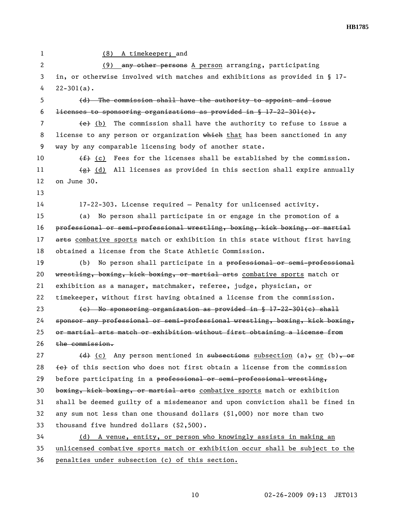1 (8) A timekeeper; and 2 (9) any other persons A person arranging, participating 3 in, or otherwise involved with matches and exhibitions as provided in § 17-  $4 \quad 22 - 301(a)$ . 5 (d) The commission shall have the authority to appoint and issue 6 **licenses to sponsoring organizations as provided in § 17-22-301(c).** 7 (e) (b) The commission shall have the authority to refuse to issue a 8 license to any person or organization which that has been sanctioned in any 9 way by any comparable licensing body of another state. 10  $(f)$  (c) Fees for the licenses shall be established by the commission. 11  $\left(\frac{1}{6}\right)$  (d) All licenses as provided in this section shall expire annually 12 on June 30. 13 14 17-22-303. License required — Penalty for unlicensed activity. 15 (a) No person shall participate in or engage in the promotion of a 16 professional or semi-professional wrestling, boxing, kick boxing, or martial 17 arts combative sports match or exhibition in this state without first having 18 obtained a license from the State Athletic Commission. 19 (b) No person shall participate in a professional or semi-professional 20 wrestling, boxing, kick boxing, or martial arts combative sports match or 21 exhibition as a manager, matchmaker, referee, judge, physician, or 22 timekeeper, without first having obtained a license from the commission. 23 (c) No sponsoring organization as provided in § 17-22-301(c) shall 24 sponsor any professional or semi-professional wrestling, boxing, kick boxing, 25 or martial arts match or exhibition without first obtaining a license from 26 the commission. 27 (d) (c) Any person mentioned in subsections subsection (a), or (b), or 28  $\leftrightarrow$  of this section who does not first obtain a license from the commission 29 before participating in a professional or semi-professional wrestling, 30 boxing, kick boxing, or martial arts combative sports match or exhibition 31 shall be deemed guilty of a misdemeanor and upon conviction shall be fined in 32 any sum not less than one thousand dollars (\$1,000) nor more than two 33 thousand five hundred dollars (\$2,500). 34 (d) A venue, entity, or person who knowingly assists in making an 35 unlicensed combative sports match or exhibition occur shall be subject to the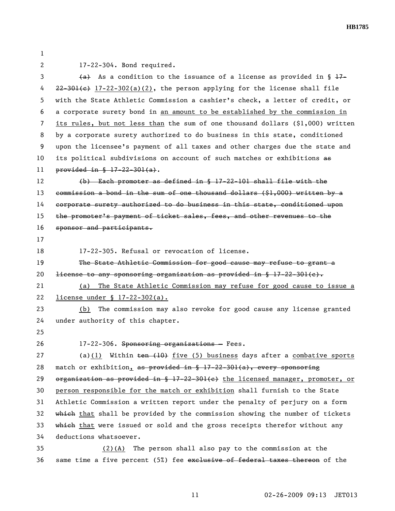1

2 17-22-304. Bond required.

3 (a) As a condition to the issuance of a license as provided in  $\S 17-$ 4 22-301(e) 17-22-302(a)(2), the person applying for the license shall file 5 with the State Athletic Commission a cashier's check, a letter of credit, or 6 a corporate surety bond in an amount to be established by the commission in 7 its rules, but not less than the sum of one thousand dollars (\$1,000) written 8 by a corporate surety authorized to do business in this state, conditioned 9 upon the licensee's payment of all taxes and other charges due the state and 10 its political subdivisions on account of such matches or exhibitions as 11 provided in § 17-22-301(a).

12 (b) Each promoter as defined in § 17-22-101 shall file with the 13 commission a bond in the sum of one thousand dollars (\$1,000) written by a 14 corporate surety authorized to do business in this state, conditioned upon 15 the promoter's payment of ticket sales, fees, and other revenues to the 16 sponsor and participants.

17

18 17-22-305. Refusal or revocation of license.

19 The State Athletic Commission for good cause may refuse to grant a 20 <del>license to any sponsoring organization as provided in § 17-22-301(c).</del>

21 (a) The State Athletic Commission may refuse for good cause to issue a 22 license under § 17-22-302(a).

23 (b) The commission may also revoke for good cause any license granted 24 under authority of this chapter.

25

26 17-22-306. Sponsoring organizations - Fees.

27 (a)(1) Within  $\frac{10}{2}$  five (5) business days after a combative sports 28 match or exhibition, as provided in § 17-22-301(a), every sponsoring 29 organization as provided in § 17-22-301(e) the licensed manager, promoter, or 30 person responsible for the match or exhibition shall furnish to the State 31 Athletic Commission a written report under the penalty of perjury on a form 32 which that shall be provided by the commission showing the number of tickets 33 which that were issued or sold and the gross receipts therefor without any 34 deductions whatsoever.

35 (2)(A) The person shall also pay to the commission at the 36 same time a five percent (5%) fee exclusive of federal taxes thereon of the